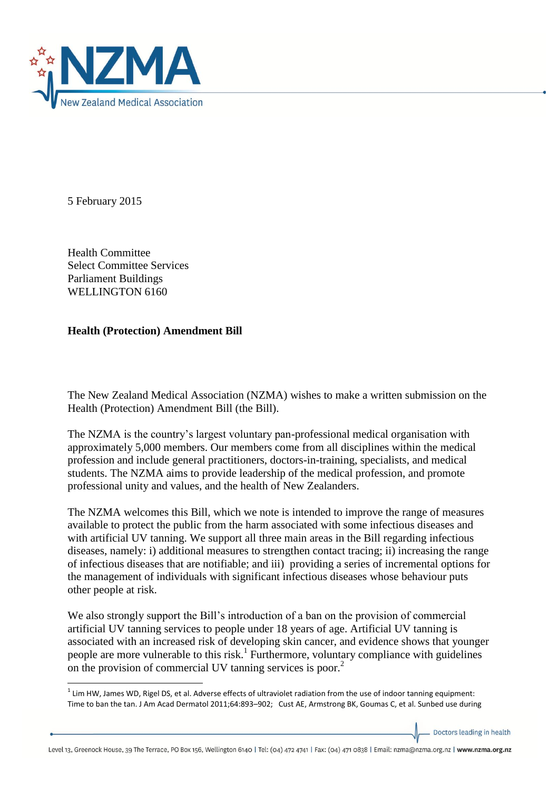

5 February 2015

**.** 

Health Committee Select Committee Services Parliament Buildings WELLINGTON 6160

## **Health (Protection) Amendment Bill**

The New Zealand Medical Association (NZMA) wishes to make a written submission on the Health (Protection) Amendment Bill (the Bill).

The NZMA is the country's largest voluntary pan-professional medical organisation with approximately 5,000 members. Our members come from all disciplines within the medical profession and include general practitioners, doctors-in-training, specialists, and medical students. The NZMA aims to provide leadership of the medical profession, and promote professional unity and values, and the health of New Zealanders.

The NZMA welcomes this Bill, which we note is intended to improve the range of measures available to protect the public from the harm associated with some infectious diseases and with artificial UV tanning. We support all three main areas in the Bill regarding infectious diseases, namely: i) additional measures to strengthen contact tracing; ii) increasing the range of infectious diseases that are notifiable; and iii) providing a series of incremental options for the management of individuals with significant infectious diseases whose behaviour puts other people at risk.

We also strongly support the Bill's introduction of a ban on the provision of commercial artificial UV tanning services to people under 18 years of age. Artificial UV tanning is associated with an increased risk of developing skin cancer, and evidence shows that younger people are more vulnerable to this risk.<sup>1</sup> Furthermore, voluntary compliance with guidelines on the provision of commercial UV tanning services is poor.<sup>2</sup>

Doctors leading in health

Level 13, Greenock House, 39 The Terrace, PO Box 156, Wellington 6140 | Tel: (04) 472 4741 | Fax: (04) 471 0838 | Email: nzma@nzma.org.nz | www.nzma.org.nz

 $1$  Lim HW, James WD, Rigel DS, et al. Adverse effects of ultraviolet radiation from the use of indoor tanning equipment: Time to ban the tan. J Am Acad Dermatol 2011;64:893–902; Cust AE, Armstrong BK, Goumas C, et al. Sunbed use during